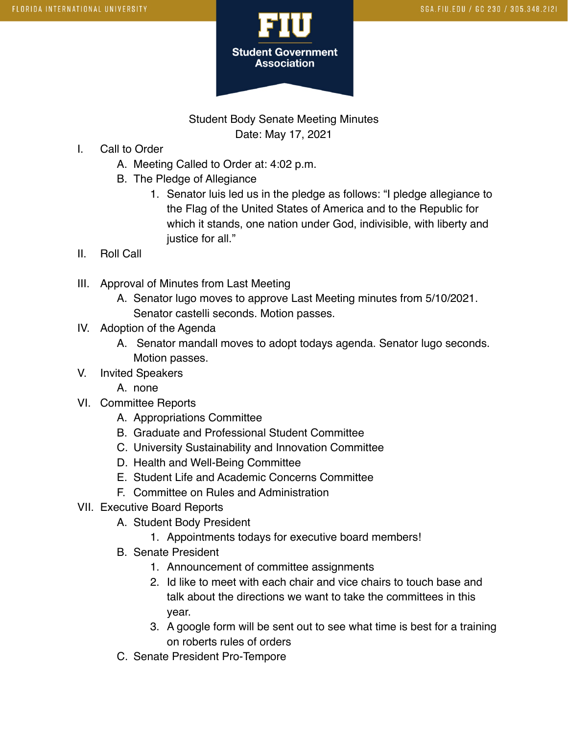

Student Body Senate Meeting Minutes Date: May 17, 2021

- I. Call to Order
	- A. Meeting Called to Order at: 4:02 p.m.
	- B. The Pledge of Allegiance
		- 1. Senator luis led us in the pledge as follows: "I pledge allegiance to the Flag of the United States of America and to the Republic for which it stands, one nation under God, indivisible, with liberty and justice for all."
- II. Roll Call
- III. Approval of Minutes from Last Meeting
	- A. Senator lugo moves to approve Last Meeting minutes from 5/10/2021. Senator castelli seconds. Motion passes.
- IV. Adoption of the Agenda
	- A. Senator mandall moves to adopt todays agenda. Senator lugo seconds. Motion passes.
- V. Invited Speakers
	- A. none
- VI. Committee Reports
	- A. Appropriations Committee
	- B. Graduate and Professional Student Committee
	- C. University Sustainability and Innovation Committee
	- D. Health and Well-Being Committee
	- E. Student Life and Academic Concerns Committee
	- F. Committee on Rules and Administration
- VII. Executive Board Reports
	- A. Student Body President
		- 1. Appointments todays for executive board members!
	- B. Senate President
		- 1. Announcement of committee assignments
		- 2. Id like to meet with each chair and vice chairs to touch base and talk about the directions we want to take the committees in this year.
		- 3. A google form will be sent out to see what time is best for a training on roberts rules of orders
	- C. Senate President Pro-Tempore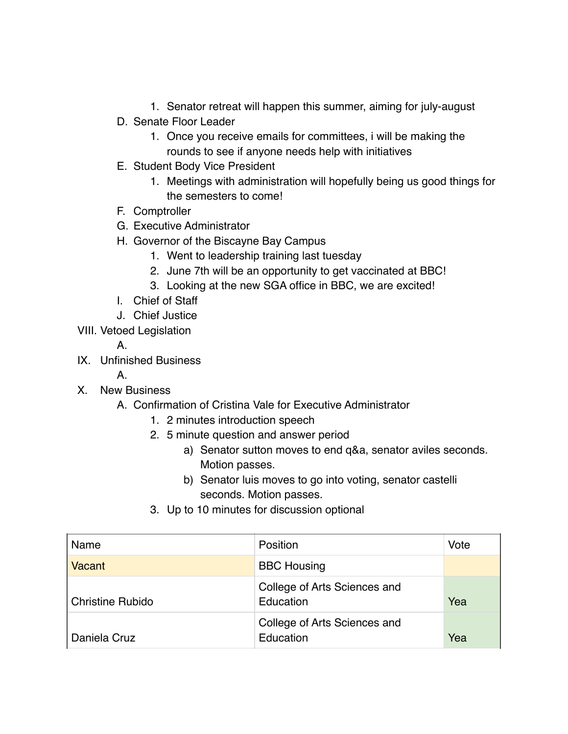- 1. Senator retreat will happen this summer, aiming for july-august
- D. Senate Floor Leader
	- 1. Once you receive emails for committees, i will be making the rounds to see if anyone needs help with initiatives
- E. Student Body Vice President
	- 1. Meetings with administration will hopefully being us good things for the semesters to come!
- F. Comptroller
- G. Executive Administrator
- H. Governor of the Biscayne Bay Campus
	- 1. Went to leadership training last tuesday
	- 2. June 7th will be an opportunity to get vaccinated at BBC!
	- 3. Looking at the new SGA office in BBC, we are excited!
- I. Chief of Staff
- J. Chief Justice
- VIII. Vetoed Legislation
	- A.
- IX. Unfinished Business
	- A.
- X. New Business
	- A. Confirmation of Cristina Vale for Executive Administrator
		- 1. 2 minutes introduction speech
		- 2. 5 minute question and answer period
			- a) Senator sutton moves to end q&a, senator aviles seconds. Motion passes.
			- b) Senator luis moves to go into voting, senator castelli seconds. Motion passes.
		- 3. Up to 10 minutes for discussion optional

| Name                    | Position                                  | Vote |
|-------------------------|-------------------------------------------|------|
| Vacant                  | <b>BBC Housing</b>                        |      |
| <b>Christine Rubido</b> | College of Arts Sciences and<br>Education | Yea  |
| Daniela Cruz            | College of Arts Sciences and<br>Education | Yea  |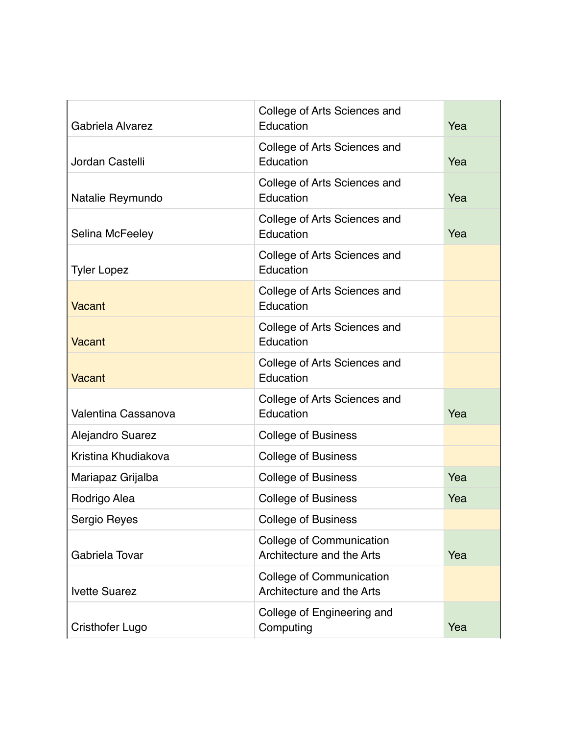| Gabriela Alvarez        | College of Arts Sciences and<br>Education                    | Yea |
|-------------------------|--------------------------------------------------------------|-----|
| Jordan Castelli         | College of Arts Sciences and<br>Education                    | Yea |
| Natalie Reymundo        | College of Arts Sciences and<br>Education                    | Yea |
| Selina McFeeley         | College of Arts Sciences and<br>Education                    | Yea |
| <b>Tyler Lopez</b>      | College of Arts Sciences and<br>Education                    |     |
| Vacant                  | College of Arts Sciences and<br>Education                    |     |
| Vacant                  | College of Arts Sciences and<br>Education                    |     |
| <b>Vacant</b>           | College of Arts Sciences and<br>Education                    |     |
| Valentina Cassanova     | College of Arts Sciences and<br>Education                    | Yea |
| <b>Alejandro Suarez</b> | <b>College of Business</b>                                   |     |
| Kristina Khudiakova     | <b>College of Business</b>                                   |     |
| Mariapaz Grijalba       | <b>College of Business</b>                                   | Yea |
| Rodrigo Alea            | <b>College of Business</b>                                   | Yea |
| Sergio Reyes            | <b>College of Business</b>                                   |     |
| Gabriela Tovar          | <b>College of Communication</b><br>Architecture and the Arts | Yea |
| <b>Ivette Suarez</b>    | <b>College of Communication</b><br>Architecture and the Arts |     |
| <b>Cristhofer Lugo</b>  | College of Engineering and<br>Computing                      | Yea |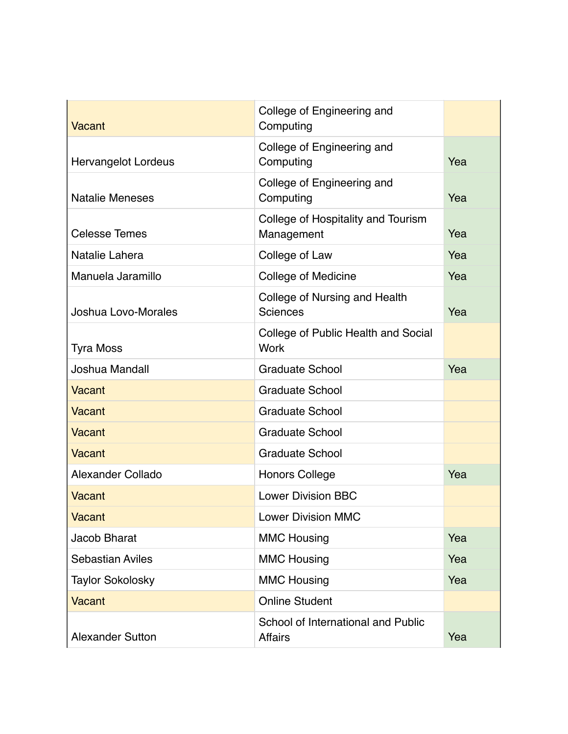| <b>Vacant</b>              | College of Engineering and<br>Computing              |     |
|----------------------------|------------------------------------------------------|-----|
| <b>Hervangelot Lordeus</b> | College of Engineering and<br>Computing              | Yea |
| <b>Natalie Meneses</b>     | College of Engineering and<br>Computing              | Yea |
| <b>Celesse Temes</b>       | College of Hospitality and Tourism<br>Management     | Yea |
| Natalie Lahera             | College of Law                                       | Yea |
| Manuela Jaramillo          | <b>College of Medicine</b>                           | Yea |
| Joshua Lovo-Morales        | College of Nursing and Health<br>Sciences            | Yea |
| <b>Tyra Moss</b>           | College of Public Health and Social<br><b>Work</b>   |     |
| Joshua Mandall             | <b>Graduate School</b>                               | Yea |
| <b>Vacant</b>              | <b>Graduate School</b>                               |     |
| <b>Vacant</b>              | <b>Graduate School</b>                               |     |
| <b>Vacant</b>              | <b>Graduate School</b>                               |     |
| <b>Vacant</b>              | <b>Graduate School</b>                               |     |
| Alexander Collado          | <b>Honors College</b>                                | Yea |
| Vacant                     | <b>Lower Division BBC</b>                            |     |
| <b>Vacant</b>              | <b>Lower Division MMC</b>                            |     |
| <b>Jacob Bharat</b>        | <b>MMC Housing</b>                                   | Yea |
| <b>Sebastian Aviles</b>    | <b>MMC Housing</b>                                   | Yea |
| <b>Taylor Sokolosky</b>    | <b>MMC Housing</b>                                   | Yea |
| <b>Vacant</b>              | <b>Online Student</b>                                |     |
| <b>Alexander Sutton</b>    | School of International and Public<br><b>Affairs</b> | Yea |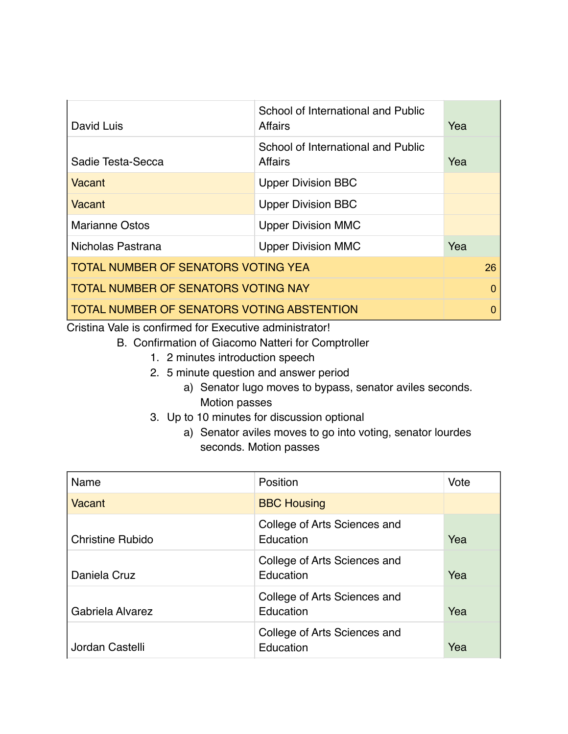| David Luis                                 | School of International and Public<br>Affairs | Yea |          |
|--------------------------------------------|-----------------------------------------------|-----|----------|
| Sadie Testa-Secca                          | School of International and Public<br>Affairs | Yea |          |
| Vacant                                     | <b>Upper Division BBC</b>                     |     |          |
| Vacant                                     | <b>Upper Division BBC</b>                     |     |          |
| <b>Marianne Ostos</b>                      | <b>Upper Division MMC</b>                     |     |          |
| Nicholas Pastrana                          | <b>Upper Division MMC</b>                     | Yea |          |
| <b>TOTAL NUMBER OF SENATORS VOTING YEA</b> |                                               |     | 26       |
| <b>TOTAL NUMBER OF SENATORS VOTING NAY</b> |                                               |     | $\Omega$ |
| TOTAL NUMBER OF SENATORS VOTING ABSTENTION |                                               |     | $\Omega$ |

Cristina Vale is confirmed for Executive administrator!

- B. Confirmation of Giacomo Natteri for Comptroller
	- 1. 2 minutes introduction speech
	- 2. 5 minute question and answer period
		- a) Senator lugo moves to bypass, senator aviles seconds. Motion passes
	- 3. Up to 10 minutes for discussion optional
		- a) Senator aviles moves to go into voting, senator lourdes seconds. Motion passes

| Name                    | Position                                  | Vote |
|-------------------------|-------------------------------------------|------|
| Vacant                  | <b>BBC Housing</b>                        |      |
| <b>Christine Rubido</b> | College of Arts Sciences and<br>Education | Yea  |
| Daniela Cruz            | College of Arts Sciences and<br>Education | Yea  |
| Gabriela Alvarez        | College of Arts Sciences and<br>Education | Yea  |
| Jordan Castelli         | College of Arts Sciences and<br>Education | Yea  |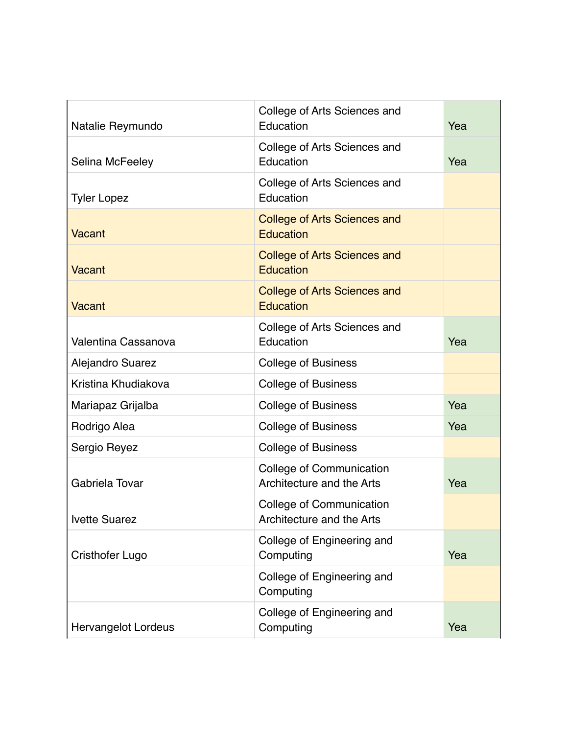| Natalie Reymundo           | College of Arts Sciences and<br>Education                    | Yea |
|----------------------------|--------------------------------------------------------------|-----|
| Selina McFeeley            | College of Arts Sciences and<br>Education                    | Yea |
| <b>Tyler Lopez</b>         | College of Arts Sciences and<br>Education                    |     |
| Vacant                     | <b>College of Arts Sciences and</b><br><b>Education</b>      |     |
| <b>Vacant</b>              | <b>College of Arts Sciences and</b><br><b>Education</b>      |     |
| <b>Vacant</b>              | <b>College of Arts Sciences and</b><br><b>Education</b>      |     |
| Valentina Cassanova        | College of Arts Sciences and<br>Education                    | Yea |
| <b>Alejandro Suarez</b>    | <b>College of Business</b>                                   |     |
| Kristina Khudiakova        | <b>College of Business</b>                                   |     |
| Mariapaz Grijalba          | <b>College of Business</b>                                   | Yea |
| Rodrigo Alea               | <b>College of Business</b>                                   | Yea |
| Sergio Reyez               | <b>College of Business</b>                                   |     |
| Gabriela Tovar             | <b>College of Communication</b><br>Architecture and the Arts | Yea |
| <b>Ivette Suarez</b>       | College of Communication<br>Architecture and the Arts        |     |
| <b>Cristhofer Lugo</b>     | College of Engineering and<br>Computing                      | Yea |
|                            | College of Engineering and<br>Computing                      |     |
| <b>Hervangelot Lordeus</b> | College of Engineering and<br>Computing                      | Yea |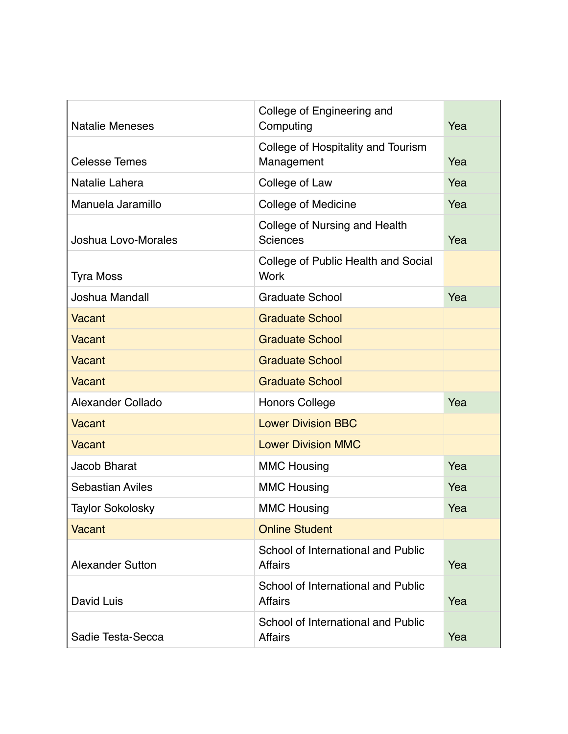| <b>Natalie Meneses</b>   | College of Engineering and<br>Computing              | Yea |
|--------------------------|------------------------------------------------------|-----|
| <b>Celesse Temes</b>     | College of Hospitality and Tourism<br>Management     | Yea |
| Natalie Lahera           | College of Law                                       | Yea |
| Manuela Jaramillo        | College of Medicine                                  | Yea |
| Joshua Lovo-Morales      | College of Nursing and Health<br><b>Sciences</b>     | Yea |
| <b>Tyra Moss</b>         | College of Public Health and Social<br><b>Work</b>   |     |
| Joshua Mandall           | <b>Graduate School</b>                               | Yea |
| Vacant                   | <b>Graduate School</b>                               |     |
| <b>Vacant</b>            | <b>Graduate School</b>                               |     |
| <b>Vacant</b>            | <b>Graduate School</b>                               |     |
| <b>Vacant</b>            | <b>Graduate School</b>                               |     |
| <b>Alexander Collado</b> | <b>Honors College</b>                                | Yea |
| <b>Vacant</b>            | <b>Lower Division BBC</b>                            |     |
| Vacant                   | <b>Lower Division MMC</b>                            |     |
| Jacob Bharat             | <b>MMC Housing</b>                                   | Yea |
| <b>Sebastian Aviles</b>  | <b>MMC Housing</b>                                   | Yea |
| <b>Taylor Sokolosky</b>  | <b>MMC Housing</b>                                   | Yea |
| Vacant                   | <b>Online Student</b>                                |     |
| <b>Alexander Sutton</b>  | School of International and Public<br><b>Affairs</b> | Yea |
| David Luis               | School of International and Public<br><b>Affairs</b> | Yea |
| Sadie Testa-Secca        | School of International and Public<br><b>Affairs</b> | Yea |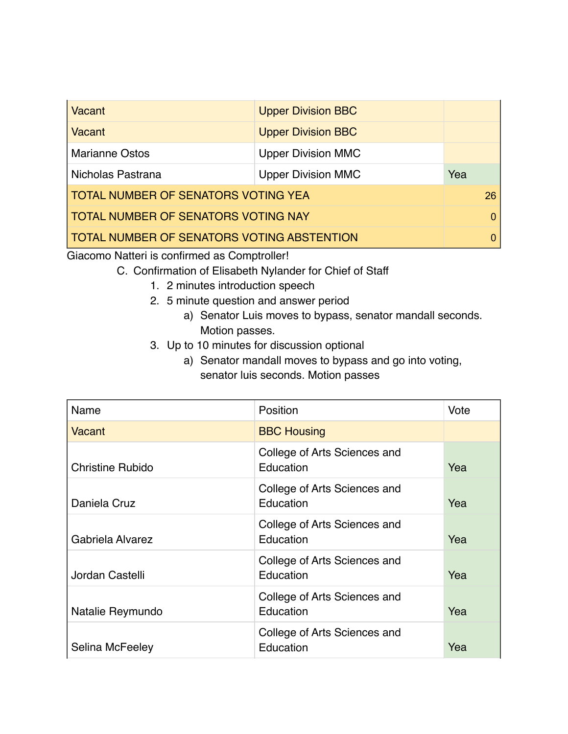| Vacant                                     | <b>Upper Division BBC</b> |     |          |
|--------------------------------------------|---------------------------|-----|----------|
| Vacant                                     | <b>Upper Division BBC</b> |     |          |
| <b>Marianne Ostos</b>                      | <b>Upper Division MMC</b> |     |          |
| Nicholas Pastrana                          | <b>Upper Division MMC</b> | Yea |          |
| TOTAL NUMBER OF SENATORS VOTING YEA        |                           |     | 26       |
| TOTAL NUMBER OF SENATORS VOTING NAY        |                           |     | $\Omega$ |
| TOTAL NUMBER OF SENATORS VOTING ABSTENTION |                           |     |          |

Giacomo Natteri is confirmed as Comptroller!

C. Confirmation of Elisabeth Nylander for Chief of Staff

- 1. 2 minutes introduction speech
- 2. 5 minute question and answer period
	- a) Senator Luis moves to bypass, senator mandall seconds. Motion passes.
- 3. Up to 10 minutes for discussion optional
	- a) Senator mandall moves to bypass and go into voting, senator luis seconds. Motion passes

| Name                    | Position                                  | Vote |
|-------------------------|-------------------------------------------|------|
| Vacant                  | <b>BBC Housing</b>                        |      |
| <b>Christine Rubido</b> | College of Arts Sciences and<br>Education | Yea  |
| Daniela Cruz            | College of Arts Sciences and<br>Education | Yea  |
| Gabriela Alvarez        | College of Arts Sciences and<br>Education | Yea  |
| Jordan Castelli         | College of Arts Sciences and<br>Education | Yea  |
| Natalie Reymundo        | College of Arts Sciences and<br>Education | Yea  |
| Selina McFeeley         | College of Arts Sciences and<br>Education | Yea  |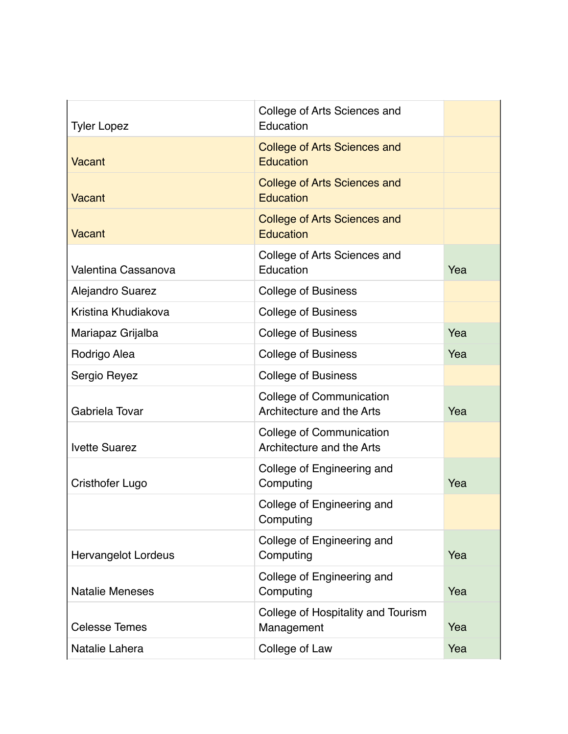| <b>Tyler Lopez</b>         | College of Arts Sciences and<br>Education                    |     |
|----------------------------|--------------------------------------------------------------|-----|
| <b>Vacant</b>              | <b>College of Arts Sciences and</b><br><b>Education</b>      |     |
| <b>Vacant</b>              | <b>College of Arts Sciences and</b><br><b>Education</b>      |     |
| Vacant                     | <b>College of Arts Sciences and</b><br><b>Education</b>      |     |
| Valentina Cassanova        | College of Arts Sciences and<br>Education                    | Yea |
| <b>Alejandro Suarez</b>    | <b>College of Business</b>                                   |     |
| Kristina Khudiakova        | <b>College of Business</b>                                   |     |
| Mariapaz Grijalba          | <b>College of Business</b>                                   | Yea |
| Rodrigo Alea               | <b>College of Business</b>                                   | Yea |
| Sergio Reyez               | <b>College of Business</b>                                   |     |
| Gabriela Tovar             | <b>College of Communication</b><br>Architecture and the Arts | Yea |
| <b>Ivette Suarez</b>       | College of Communication<br>Architecture and the Arts        |     |
| <b>Cristhofer Lugo</b>     | College of Engineering and<br>Computing                      | Yea |
|                            | College of Engineering and<br>Computing                      |     |
| <b>Hervangelot Lordeus</b> | College of Engineering and<br>Computing                      | Yea |
| <b>Natalie Meneses</b>     | College of Engineering and<br>Computing                      | Yea |
| <b>Celesse Temes</b>       | College of Hospitality and Tourism<br>Management             | Yea |
| Natalie Lahera             | College of Law                                               | Yea |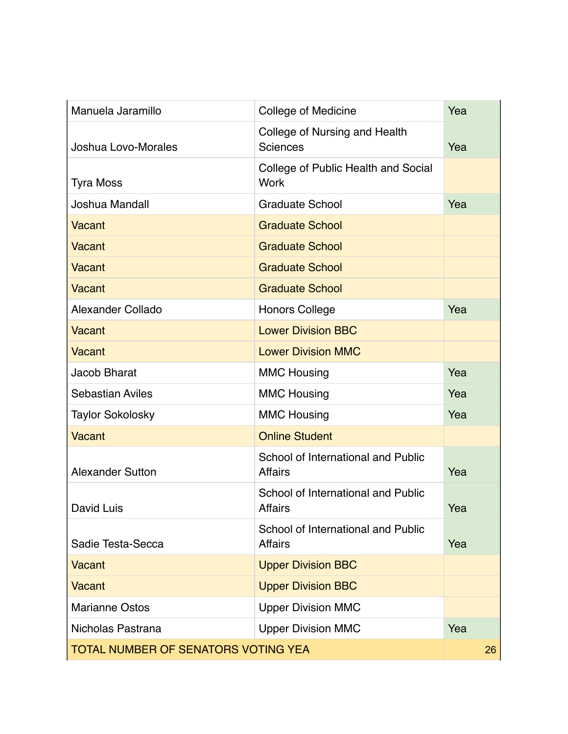| Manuela Jaramillo                   | <b>College of Medicine</b>                           | Yea |    |
|-------------------------------------|------------------------------------------------------|-----|----|
| Joshua Lovo-Morales                 | College of Nursing and Health<br>Sciences            | Yea |    |
| <b>Tyra Moss</b>                    | College of Public Health and Social<br><b>Work</b>   |     |    |
| Joshua Mandall                      | <b>Graduate School</b>                               | Yea |    |
| <b>Vacant</b>                       | <b>Graduate School</b>                               |     |    |
| Vacant                              | <b>Graduate School</b>                               |     |    |
| Vacant                              | <b>Graduate School</b>                               |     |    |
| Vacant                              | <b>Graduate School</b>                               |     |    |
| Alexander Collado                   | <b>Honors College</b>                                | Yea |    |
| <b>Vacant</b>                       | <b>Lower Division BBC</b>                            |     |    |
| Vacant                              | <b>Lower Division MMC</b>                            |     |    |
| <b>Jacob Bharat</b>                 | <b>MMC Housing</b>                                   | Yea |    |
| <b>Sebastian Aviles</b>             | <b>MMC Housing</b>                                   | Yea |    |
| <b>Taylor Sokolosky</b>             | <b>MMC Housing</b>                                   | Yea |    |
| Vacant                              | <b>Online Student</b>                                |     |    |
| <b>Alexander Sutton</b>             | School of International and Public<br><b>Affairs</b> | Yea |    |
| David Luis                          | School of International and Public<br><b>Affairs</b> | Yea |    |
| Sadie Testa-Secca                   | School of International and Public<br><b>Affairs</b> | Yea |    |
| <b>Vacant</b>                       | <b>Upper Division BBC</b>                            |     |    |
| Vacant                              | <b>Upper Division BBC</b>                            |     |    |
| <b>Marianne Ostos</b>               | <b>Upper Division MMC</b>                            |     |    |
| Nicholas Pastrana                   | <b>Upper Division MMC</b>                            | Yea |    |
| TOTAL NUMBER OF SENATORS VOTING YEA |                                                      |     | 26 |